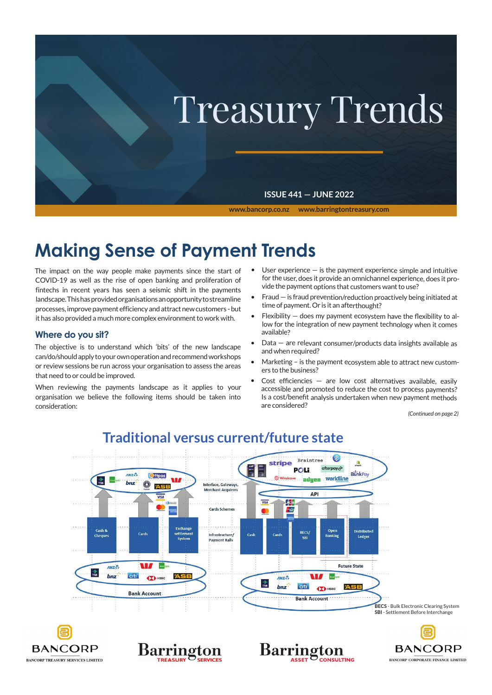

# **Making Sense of Payment Trends**

The impact on the way people make payments since the start of COVID-19 as well as the rise of open banking and proliferation of fintechs in recent years has seen a seismic shift in the payments landscape. This has provided organisations an opportunity to streamline processes, improve payment efficiency and attract new customers - but it has also provided a much more complex environment to work with.

# **Where do you sit?**

The objective is to understand which 'bits' of the new landscape can/do/should apply to your own operation and recommend workshops or review sessions be run across your organisation to assess the areas that need to or could be improved.

When reviewing the payments landscape as it applies to your organisation we believe the following items should be taken into consideration:

- User experience  $-$  is the payment experience simple and intuitive for the user, does it provide an omnichannel experience, does it provide the payment options that customers want to use?
- • Fraud is fraud prevention/reduction proactively being initiated at time of payment. Or is it an afterthought?
- Flexibility  $-$  does my payment ecosystem have the flexibility to allow for the integration of new payment technology when it comes available?
- $Data -$  are relevant consumer/products data insights available as and when required?
- Marketing is the payment ecosystem able to attract new customers to the business?
- Cost efficiencies  $-$  are low cost alternatives available, easily accessible and promoted to reduce the cost to process payments? Is <sup>a</sup> cost/benefit analysis undertaken when new payment methods are considered?

*(Continued on page 2)*



# **Traditional versus current/future state**